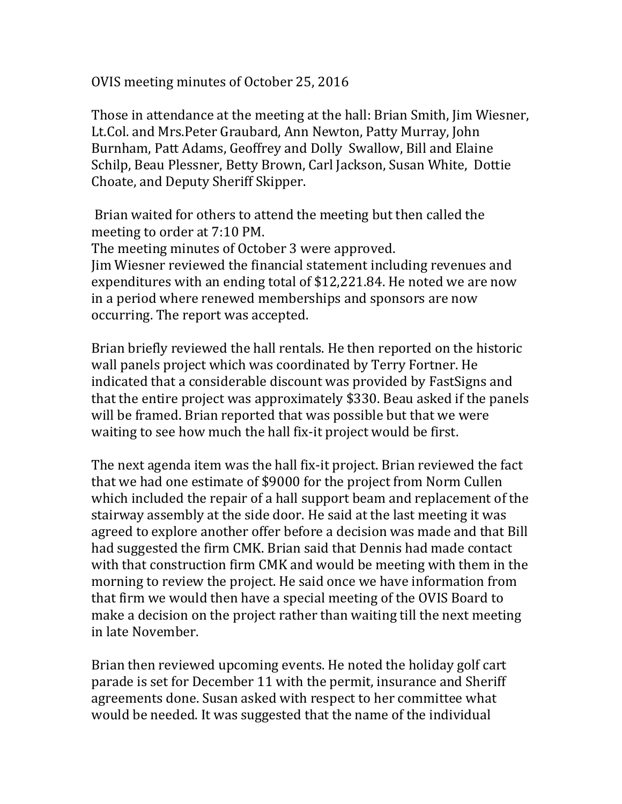OVIS meeting minutes of October 25, 2016

Those in attendance at the meeting at the hall: Brian Smith, Jim Wiesner, Lt.Col. and Mrs.Peter Graubard, Ann Newton, Patty Murray, John Burnham, Patt Adams, Geoffrey and Dolly Swallow, Bill and Elaine Schilp, Beau Plessner, Betty Brown, Carl Jackson, Susan White, Dottie Choate, and Deputy Sheriff Skipper.

Brian waited for others to attend the meeting but then called the meeting to order at 7:10 PM.

The meeting minutes of October 3 were approved. Jim Wiesner reviewed the financial statement including revenues and expenditures with an ending total of \$12,221.84. He noted we are now in a period where renewed memberships and sponsors are now occurring. The report was accepted.

Brian briefly reviewed the hall rentals. He then reported on the historic wall panels project which was coordinated by Terry Fortner. He indicated that a considerable discount was provided by FastSigns and that the entire project was approximately \$330. Beau asked if the panels will be framed. Brian reported that was possible but that we were waiting to see how much the hall fix-it project would be first.

The next agenda item was the hall fix-it project. Brian reviewed the fact that we had one estimate of \$9000 for the project from Norm Cullen which included the repair of a hall support beam and replacement of the stairway assembly at the side door. He said at the last meeting it was agreed to explore another offer before a decision was made and that Bill had suggested the firm CMK. Brian said that Dennis had made contact with that construction firm CMK and would be meeting with them in the morning to review the project. He said once we have information from that firm we would then have a special meeting of the OVIS Board to make a decision on the project rather than waiting till the next meeting in late November.

Brian then reviewed upcoming events. He noted the holiday golf cart parade is set for December 11 with the permit, insurance and Sheriff agreements done. Susan asked with respect to her committee what would be needed. It was suggested that the name of the individual